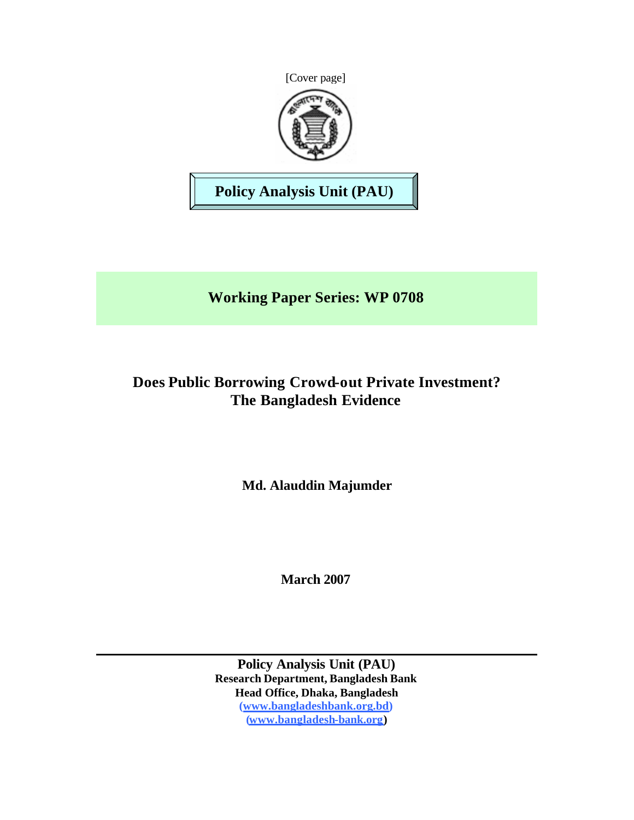



**Policy Analysis Unit (PAU)**

**Working Paper Series: WP 0708**

# **Does Public Borrowing Crowd-out Private Investment? The Bangladesh Evidence**

**Md. Alauddin Majumder**

**March 2007**

**Policy Analysis Unit (PAU) Research Department, Bangladesh Bank Head Office, Dhaka, Bangladesh (www.bangladeshbank.org.bd) (www.bangladesh-bank.org)**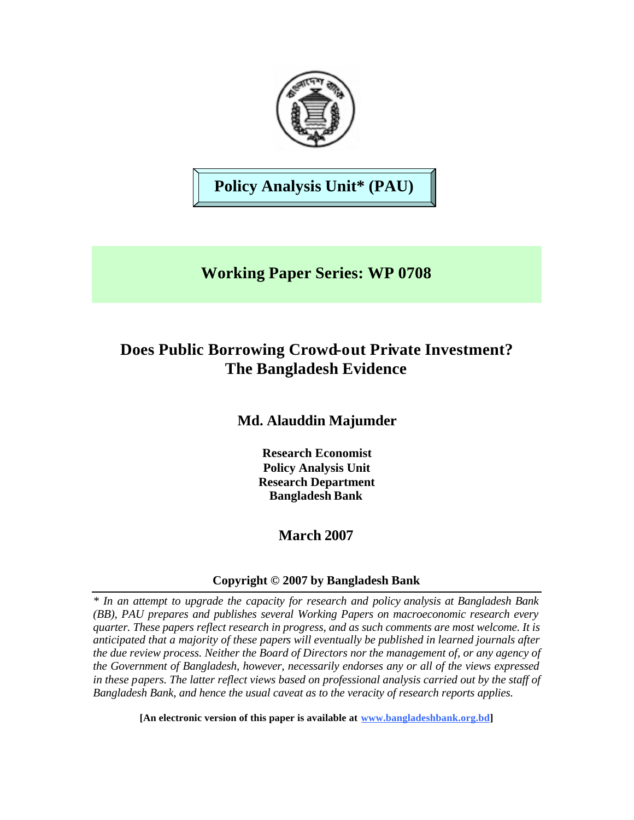

**Policy Analysis Unit\* (PAU)**

# **Working Paper Series: WP 0708**

# **Does Public Borrowing Crowd-out Private Investment? The Bangladesh Evidence**

## **Md. Alauddin Majumder**

**Research Economist Policy Analysis Unit Research Department Bangladesh Bank**

## **March 2007**

### **Copyright © 2007 by Bangladesh Bank**

*\* In an attempt to upgrade the capacity for research and policy analysis at Bangladesh Bank (BB), PAU prepares and publishes several Working Papers on macroeconomic research every quarter. These papers reflect research in progress, and as such comments are most welcome. It is anticipated that a majority of these papers will eventually be published in learned journals after the due review process. Neither the Board of Directors nor the management of, or any agency of the Government of Bangladesh, however, necessarily endorses any or all of the views expressed in these papers. The latter reflect views based on professional analysis carried out by the staff of Bangladesh Bank, and hence the usual caveat as to the veracity of research reports applies.*

**[An electronic version of this paper is available at www.bangladeshbank.org.bd]**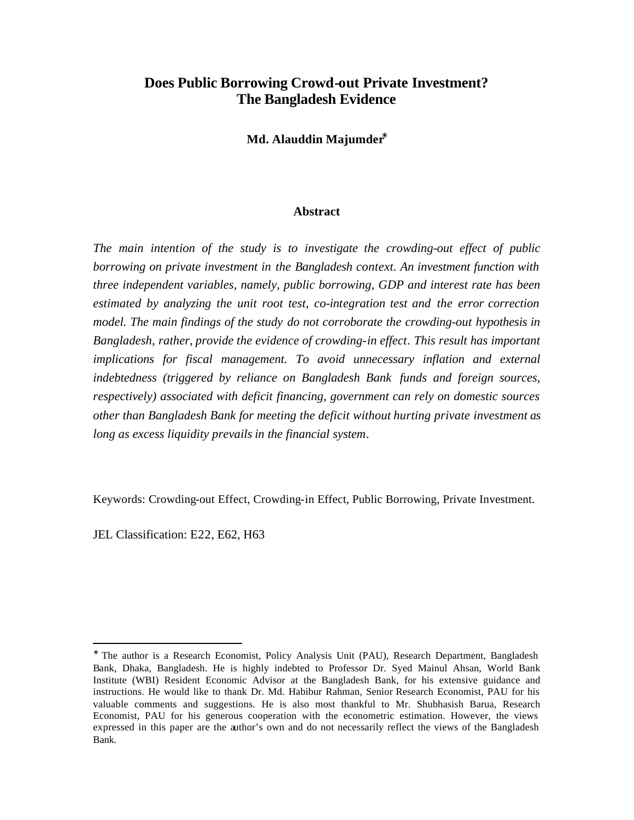### **Does Public Borrowing Crowd-out Private Investment? The Bangladesh Evidence**

**Md. Alauddin Majumder\***

#### **Abstract**

*The main intention of the study is to investigate the crowding-out effect of public borrowing on private investment in the Bangladesh context. An investment function with three independent variables, namely, public borrowing, GDP and interest rate has been estimated by analyzing the unit root test, co-integration test and the error correction model. The main findings of the study do not corroborate the crowding-out hypothesis in Bangladesh, rather, provide the evidence of crowding-in effect. This result has important implications for fiscal management. To avoid unnecessary inflation and external indebtedness (triggered by reliance on Bangladesh Bank funds and foreign sources, respectively) associated with deficit financing, government can rely on domestic sources other than Bangladesh Bank for meeting the deficit without hurting private investment as long as excess liquidity prevails in the financial system.* 

Keywords: Crowding-out Effect, Crowding-in Effect, Public Borrowing, Private Investment.

JEL Classification: E22, E62, H63

<sup>∗</sup> The author is a Research Economist, Policy Analysis Unit (PAU), Research Department, Bangladesh Bank, Dhaka, Bangladesh. He is highly indebted to Professor Dr. Syed Mainul Ahsan, World Bank Institute (WBI) Resident Economic Advisor at the Bangladesh Bank, for his extensive guidance and instructions. He would like to thank Dr. Md. Habibur Rahman, Senior Research Economist, PAU for his valuable comments and suggestions. He is also most thankful to Mr. Shubhasish Barua, Research Economist, PAU for his generous cooperation with the econometric estimation. However, the views expressed in this paper are the author's own and do not necessarily reflect the views of the Bangladesh Bank.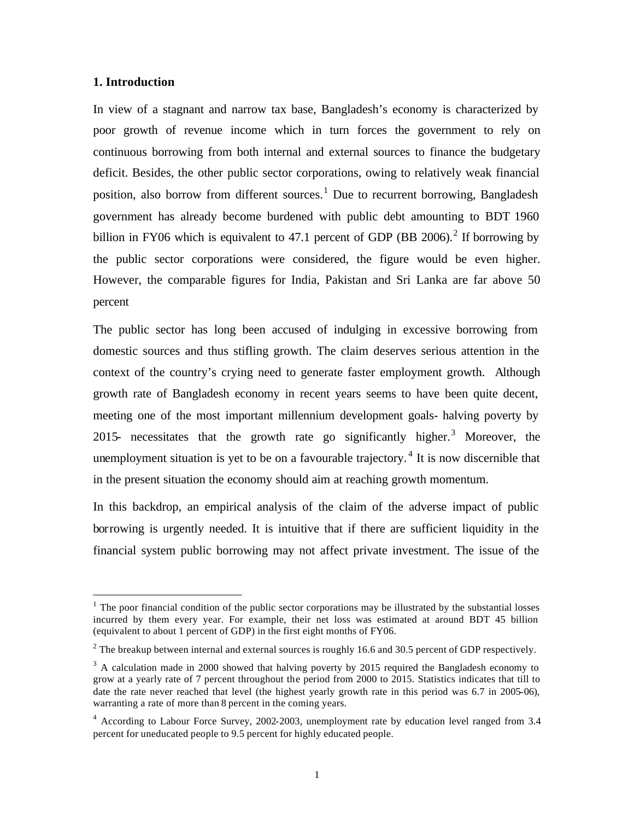#### **1. Introduction**

 $\overline{a}$ 

In view of a stagnant and narrow tax base, Bangladesh's economy is characterized by poor growth of revenue income which in turn forces the government to rely on continuous borrowing from both internal and external sources to finance the budgetary deficit. Besides, the other public sector corporations, owing to relatively weak financial position, also borrow from different sources.<sup>1</sup> Due to recurrent borrowing, Bangladesh government has already become burdened with public debt amounting to BDT 1960 billion in FY06 which is equivalent to 47.1 percent of GDP (BB 2006).<sup>2</sup> If borrowing by the public sector corporations were considered, the figure would be even higher. However, the comparable figures for India, Pakistan and Sri Lanka are far above 50 percent

The public sector has long been accused of indulging in excessive borrowing from domestic sources and thus stifling growth. The claim deserves serious attention in the context of the country's crying need to generate faster employment growth. Although growth rate of Bangladesh economy in recent years seems to have been quite decent, meeting one of the most important millennium development goals- halving poverty by 2015- necessitates that the growth rate go significantly higher.<sup>3</sup> Moreover, the unemployment situation is yet to be on a favourable trajectory.<sup>4</sup> It is now discernible that in the present situation the economy should aim at reaching growth momentum.

In this backdrop, an empirical analysis of the claim of the adverse impact of public borrowing is urgently needed. It is intuitive that if there are sufficient liquidity in the financial system public borrowing may not affect private investment. The issue of the

 $<sup>1</sup>$  The poor financial condition of the public sector corporations may be illustrated by the substantial losses</sup> incurred by them every year. For example, their net loss was estimated at around BDT 45 billion (equivalent to about 1 percent of GDP) in the first eight months of FY06.

<sup>&</sup>lt;sup>2</sup> The breakup between internal and external sources is roughly 16.6 and 30.5 percent of GDP respectively.

 $3$  A calculation made in 2000 showed that halving poverty by 2015 required the Bangladesh economy to grow at a yearly rate of 7 percent throughout the period from 2000 to 2015. Statistics indicates that till to date the rate never reached that level (the highest yearly growth rate in this period was 6.7 in 2005-06), warranting a rate of more than 8 percent in the coming years.

<sup>&</sup>lt;sup>4</sup> According to Labour Force Survey, 2002-2003, unemployment rate by education level ranged from 3.4 percent for uneducated people to 9.5 percent for highly educated people.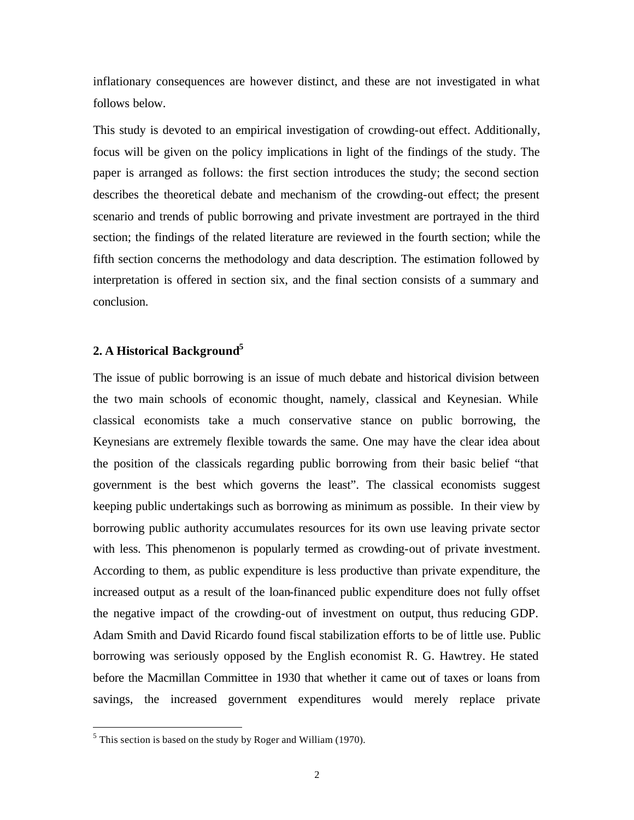inflationary consequences are however distinct, and these are not investigated in what follows below.

This study is devoted to an empirical investigation of crowding-out effect. Additionally, focus will be given on the policy implications in light of the findings of the study. The paper is arranged as follows: the first section introduces the study; the second section describes the theoretical debate and mechanism of the crowding-out effect; the present scenario and trends of public borrowing and private investment are portrayed in the third section; the findings of the related literature are reviewed in the fourth section; while the fifth section concerns the methodology and data description. The estimation followed by interpretation is offered in section six, and the final section consists of a summary and conclusion.

#### **2. A Historical Background<sup>5</sup>**

The issue of public borrowing is an issue of much debate and historical division between the two main schools of economic thought, namely, classical and Keynesian. While classical economists take a much conservative stance on public borrowing, the Keynesians are extremely flexible towards the same. One may have the clear idea about the position of the classicals regarding public borrowing from their basic belief "that government is the best which governs the least". The classical economists suggest keeping public undertakings such as borrowing as minimum as possible. In their view by borrowing public authority accumulates resources for its own use leaving private sector with less. This phenomenon is popularly termed as crowding-out of private investment. According to them, as public expenditure is less productive than private expenditure, the increased output as a result of the loan-financed public expenditure does not fully offset the negative impact of the crowding-out of investment on output, thus reducing GDP. Adam Smith and David Ricardo found fiscal stabilization efforts to be of little use. Public borrowing was seriously opposed by the English economist R. G. Hawtrey. He stated before the Macmillan Committee in 1930 that whether it came out of taxes or loans from savings, the increased government expenditures would merely replace private

 $<sup>5</sup>$  This section is based on the study by Roger and William (1970).</sup>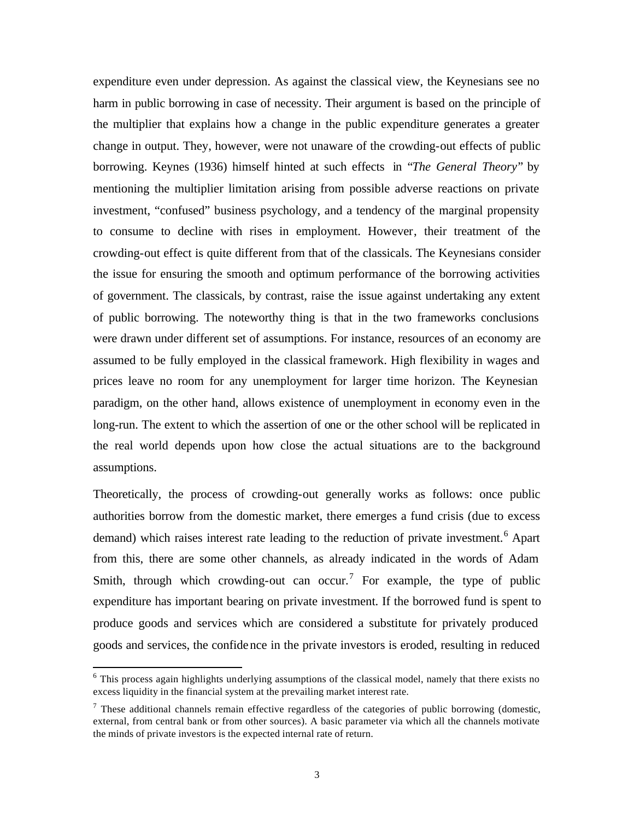expenditure even under depression. As against the classical view, the Keynesians see no harm in public borrowing in case of necessity. Their argument is based on the principle of the multiplier that explains how a change in the public expenditure generates a greater change in output. They, however, were not unaware of the crowding-out effects of public borrowing. Keynes (1936) himself hinted at such effects in "*The General Theory*" by mentioning the multiplier limitation arising from possible adverse reactions on private investment, "confused" business psychology, and a tendency of the marginal propensity to consume to decline with rises in employment. However, their treatment of the crowding-out effect is quite different from that of the classicals. The Keynesians consider the issue for ensuring the smooth and optimum performance of the borrowing activities of government. The classicals, by contrast, raise the issue against undertaking any extent of public borrowing. The noteworthy thing is that in the two frameworks conclusions were drawn under different set of assumptions. For instance, resources of an economy are assumed to be fully employed in the classical framework. High flexibility in wages and prices leave no room for any unemployment for larger time horizon. The Keynesian paradigm, on the other hand, allows existence of unemployment in economy even in the long-run. The extent to which the assertion of one or the other school will be replicated in the real world depends upon how close the actual situations are to the background assumptions.

Theoretically, the process of crowding-out generally works as follows: once public authorities borrow from the domestic market, there emerges a fund crisis (due to excess demand) which raises interest rate leading to the reduction of private investment.<sup>6</sup> Apart from this, there are some other channels, as already indicated in the words of Adam Smith, through which crowding-out can occur.<sup>7</sup> For example, the type of public expenditure has important bearing on private investment. If the borrowed fund is spent to produce goods and services which are considered a substitute for privately produced goods and services, the confidence in the private investors is eroded, resulting in reduced

<sup>&</sup>lt;sup>6</sup> This process again highlights underlying assumptions of the classical model, namely that there exists no excess liquidity in the financial system at the prevailing market interest rate.

 $<sup>7</sup>$  These additional channels remain effective regardless of the categories of public borrowing (domestic,</sup> external, from central bank or from other sources). A basic parameter via which all the channels motivate the minds of private investors is the expected internal rate of return.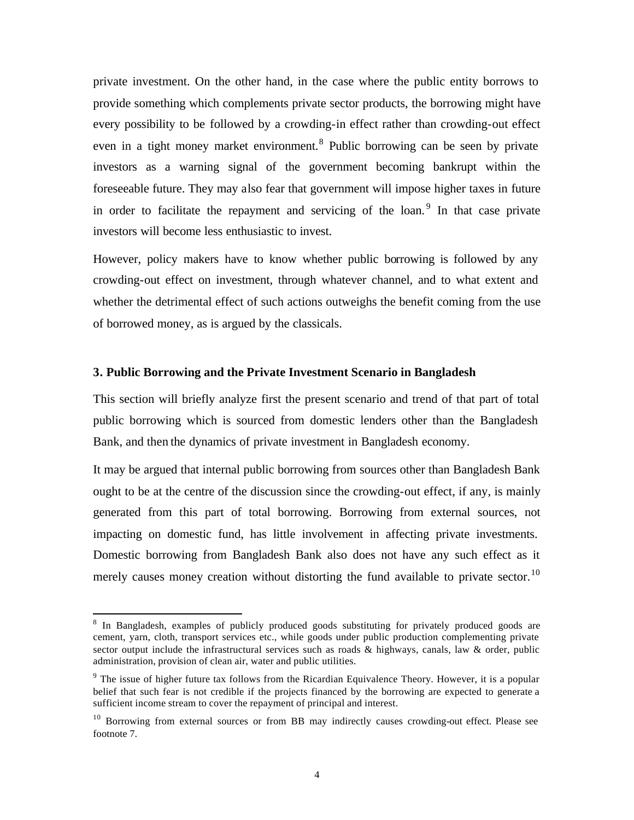private investment. On the other hand, in the case where the public entity borrows to provide something which complements private sector products, the borrowing might have every possibility to be followed by a crowding-in effect rather than crowding-out effect even in a tight money market environment.<sup>8</sup> Public borrowing can be seen by private investors as a warning signal of the government becoming bankrupt within the foreseeable future. They may also fear that government will impose higher taxes in future in order to facilitate the repayment and servicing of the loan.<sup>9</sup> In that case private investors will become less enthusiastic to invest.

However, policy makers have to know whether public borrowing is followed by any crowding-out effect on investment, through whatever channel, and to what extent and whether the detrimental effect of such actions outweighs the benefit coming from the use of borrowed money, as is argued by the classicals.

#### **3. Public Borrowing and the Private Investment Scenario in Bangladesh**

This section will briefly analyze first the present scenario and trend of that part of total public borrowing which is sourced from domestic lenders other than the Bangladesh Bank, and then the dynamics of private investment in Bangladesh economy.

It may be argued that internal public borrowing from sources other than Bangladesh Bank ought to be at the centre of the discussion since the crowding-out effect, if any, is mainly generated from this part of total borrowing. Borrowing from external sources, not impacting on domestic fund, has little involvement in affecting private investments. Domestic borrowing from Bangladesh Bank also does not have any such effect as it merely causes money creation without distorting the fund available to private sector.<sup>10</sup>

<sup>&</sup>lt;sup>8</sup> In Bangladesh, examples of publicly produced goods substituting for privately produced goods are cement, yarn, cloth, transport services etc., while goods under public production complementing private sector output include the infrastructural services such as roads & highways, canals, law & order, public administration, provision of clean air, water and public utilities.

 $9$  The issue of higher future tax follows from the Ricardian Equivalence Theory. However, it is a popular belief that such fear is not credible if the projects financed by the borrowing are expected to generate a sufficient income stream to cover the repayment of principal and interest.

<sup>&</sup>lt;sup>10</sup> Borrowing from external sources or from BB may indirectly causes crowding-out effect. Please see footnote 7.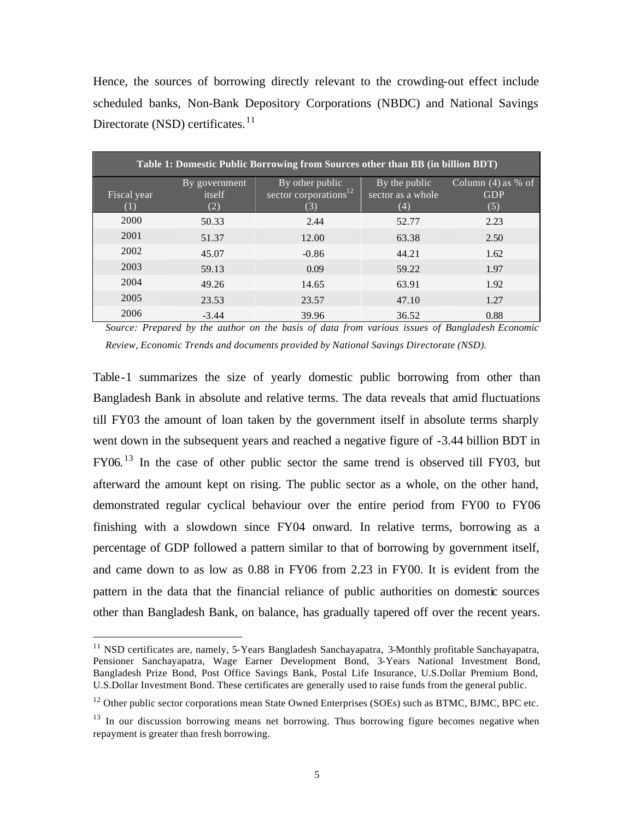Hence, the sources of borrowing directly relevant to the crowding-out effect include scheduled banks, Non-Bank Depository Corporations (NBDC) and National Savings Directorate (NSD) certificates.<sup>11</sup>

| <b>Table 1: Domestic Public Borrowing from Sources other than BB (in billion BDT)</b> |               |                                   |                   |                      |  |  |  |  |
|---------------------------------------------------------------------------------------|---------------|-----------------------------------|-------------------|----------------------|--|--|--|--|
|                                                                                       | By government | By other public                   | By the public     | Column $(4)$ as % of |  |  |  |  |
| Fiscal year                                                                           | itself        | sector corporations <sup>12</sup> | sector as a whole | <b>GDP</b>           |  |  |  |  |
|                                                                                       | (2)           | (3)                               | (4)               | (5)                  |  |  |  |  |
| 2000                                                                                  | 50.33         | 2.44                              | 52.77             | 2.23                 |  |  |  |  |
| 2001                                                                                  | 51.37         | 12.00                             | 63.38             | 2.50                 |  |  |  |  |
| 2002                                                                                  | 45.07         | $-0.86$                           | 44.21             | 1.62                 |  |  |  |  |
| 2003                                                                                  | 59.13         | 0.09                              | 59.22             | 1.97                 |  |  |  |  |
| 2004                                                                                  | 49.26         | 14.65                             | 63.91             | 1.92                 |  |  |  |  |
| 2005                                                                                  | 23.53         | 23.57                             | 47.10             | 1.27                 |  |  |  |  |
| 2006                                                                                  | $-3.44$       | 39.96                             | 36.52             | 0.88                 |  |  |  |  |

*Source: Prepared by the author on the basis of data from various issues of Bangladesh Economic Review, Economic Trends and documents provided by National Savings Directorate (NSD).* 

Table-1 summarizes the size of yearly domestic public borrowing from other than Bangladesh Bank in absolute and relative terms. The data reveals that amid fluctuations till FY03 the amount of loan taken by the government itself in absolute terms sharply went down in the subsequent years and reached a negative figure of -3.44 billion BDT in FY06.<sup>13</sup> In the case of other public sector the same trend is observed till FY03, but afterward the amount kept on rising. The public sector as a whole, on the other hand, demonstrated regular cyclical behaviour over the entire period from FY00 to FY06 finishing with a slowdown since FY04 onward. In relative terms, borrowing as a percentage of GDP followed a pattern similar to that of borrowing by government itself, and came down to as low as 0.88 in FY06 from 2.23 in FY00. It is evident from the pattern in the data that the financial reliance of public authorities on domestic sources other than Bangladesh Bank, on balance, has gradually tapered off over the recent years.

<sup>&</sup>lt;sup>11</sup> NSD certificates are, namely, 5-Years Bangladesh Sanchayapatra, 3-Monthly profitable Sanchayapatra, Pensioner Sanchayapatra, Wage Earner Development Bond, 3-Years National Investment Bond, Bangladesh Prize Bond, Post Office Savings Bank, Postal Life Insurance, U.S.Dollar Premium Bond, U.S.Dollar Investment Bond. These certificates are generally used to raise funds from the general public.

<sup>&</sup>lt;sup>12</sup> Other public sector corporations mean State Owned Enterprises (SOEs) such as BTMC, BJMC, BPC etc.

<sup>&</sup>lt;sup>13</sup> In our discussion borrowing means net borrowing. Thus borrowing figure becomes negative when repayment is greater than fresh borrowing.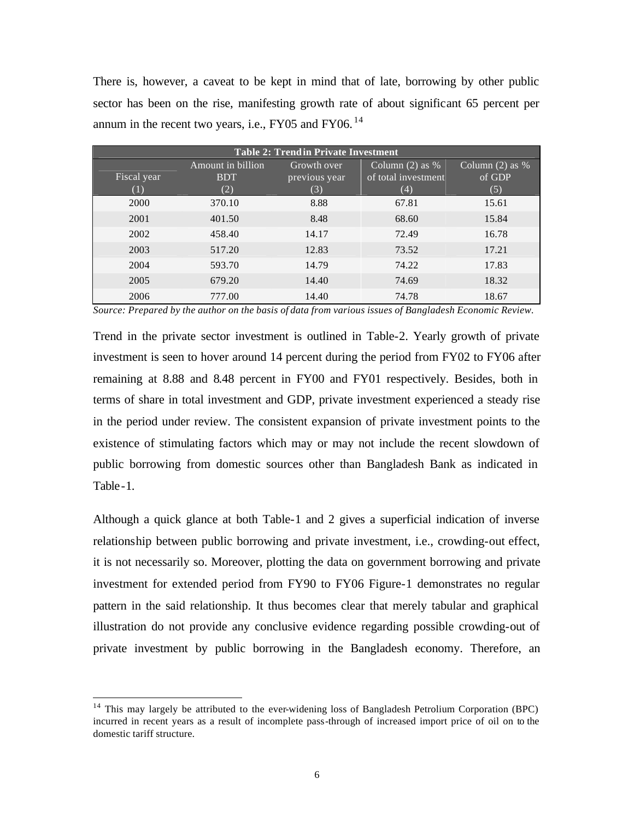There is, however, a caveat to be kept in mind that of late, borrowing by other public sector has been on the rise, manifesting growth rate of about significant 65 percent per annum in the recent two years, i.e., FY05 and FY06.<sup>14</sup>

| <b>Table 2: Trendin Private Investment</b> |                                                                            |               |                     |        |  |  |  |  |  |  |
|--------------------------------------------|----------------------------------------------------------------------------|---------------|---------------------|--------|--|--|--|--|--|--|
|                                            | Column $(2)$ as %<br>Column $(2)$ as %<br>Amount in billion<br>Growth over |               |                     |        |  |  |  |  |  |  |
| Fiscal year                                | <b>BDT</b>                                                                 | previous year | of total investment | of GDP |  |  |  |  |  |  |
|                                            | (2)                                                                        | (3)           | (4)                 | (5)    |  |  |  |  |  |  |
| 2000                                       | 370.10                                                                     | 8.88          | 67.81               | 15.61  |  |  |  |  |  |  |
| 2001                                       | 401.50                                                                     | 8.48          | 68.60               | 15.84  |  |  |  |  |  |  |
| 2002                                       | 458.40                                                                     | 14.17         | 72.49               | 16.78  |  |  |  |  |  |  |
| 2003                                       | 517.20                                                                     | 12.83         | 73.52               | 17.21  |  |  |  |  |  |  |
| 2004                                       | 593.70                                                                     | 14.79         | 74.22               | 17.83  |  |  |  |  |  |  |
| 2005                                       | 679.20                                                                     | 14.40         | 74.69               | 18.32  |  |  |  |  |  |  |
| 2006                                       | 777.00                                                                     | 14.40         | 74.78               | 18.67  |  |  |  |  |  |  |

*Source: Prepared by the author on the basis of data from various issues of Bangladesh Economic Review.*

Trend in the private sector investment is outlined in Table-2. Yearly growth of private investment is seen to hover around 14 percent during the period from FY02 to FY06 after remaining at 8.88 and 8.48 percent in FY00 and FY01 respectively. Besides, both in terms of share in total investment and GDP, private investment experienced a steady rise in the period under review. The consistent expansion of private investment points to the existence of stimulating factors which may or may not include the recent slowdown of public borrowing from domestic sources other than Bangladesh Bank as indicated in Table-1.

Although a quick glance at both Table-1 and 2 gives a superficial indication of inverse relationship between public borrowing and private investment, i.e., crowding-out effect, it is not necessarily so. Moreover, plotting the data on government borrowing and private investment for extended period from FY90 to FY06 Figure-1 demonstrates no regular pattern in the said relationship. It thus becomes clear that merely tabular and graphical illustration do not provide any conclusive evidence regarding possible crowding-out of private investment by public borrowing in the Bangladesh economy. Therefore, an

<sup>&</sup>lt;sup>14</sup> This may largely be attributed to the ever-widening loss of Bangladesh Petrolium Corporation (BPC) incurred in recent years as a result of incomplete pass-through of increased import price of oil on to the domestic tariff structure.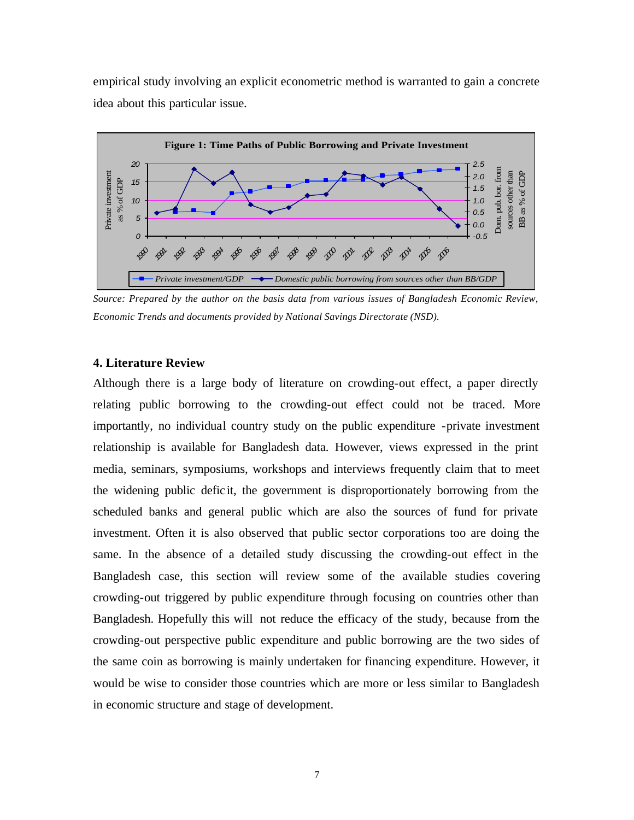empirical study involving an explicit econometric method is warranted to gain a concrete idea about this particular issue.



*Source: Prepared by the author on the basis data from various issues of Bangladesh Economic Review, Economic Trends and documents provided by National Savings Directorate (NSD).* 

#### **4. Literature Review**

Although there is a large body of literature on crowding-out effect, a paper directly relating public borrowing to the crowding-out effect could not be traced. More importantly, no individual country study on the public expenditure -private investment relationship is available for Bangladesh data. However, views expressed in the print media, seminars, symposiums, workshops and interviews frequently claim that to meet the widening public defic it, the government is disproportionately borrowing from the scheduled banks and general public which are also the sources of fund for private investment. Often it is also observed that public sector corporations too are doing the same. In the absence of a detailed study discussing the crowding-out effect in the Bangladesh case, this section will review some of the available studies covering crowding-out triggered by public expenditure through focusing on countries other than Bangladesh. Hopefully this will not reduce the efficacy of the study, because from the crowding-out perspective public expenditure and public borrowing are the two sides of the same coin as borrowing is mainly undertaken for financing expenditure. However, it would be wise to consider those countries which are more or less similar to Bangladesh in economic structure and stage of development.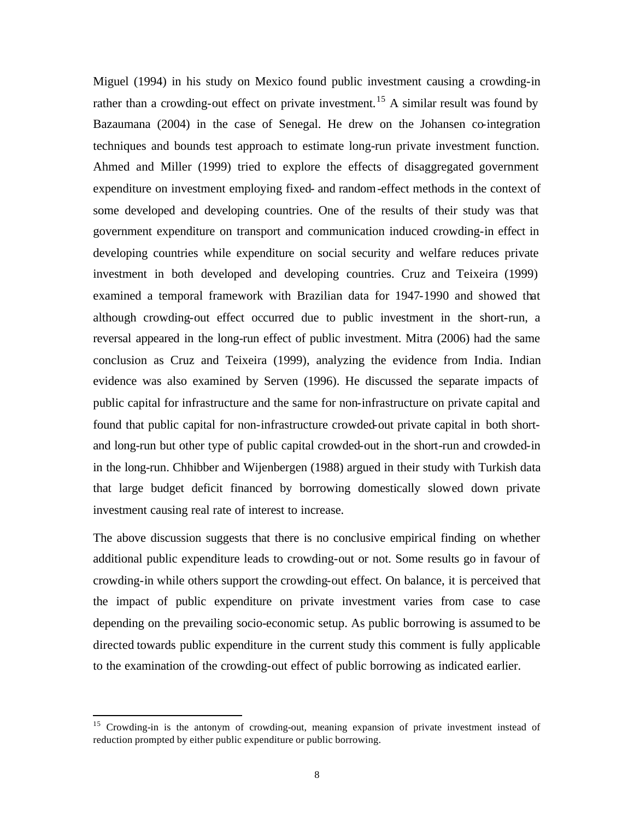Miguel (1994) in his study on Mexico found public investment causing a crowding-in rather than a crowding-out effect on private investment.<sup>15</sup> A similar result was found by Bazaumana (2004) in the case of Senegal. He drew on the Johansen co-integration techniques and bounds test approach to estimate long-run private investment function. Ahmed and Miller (1999) tried to explore the effects of disaggregated government expenditure on investment employing fixed- and random-effect methods in the context of some developed and developing countries. One of the results of their study was that government expenditure on transport and communication induced crowding-in effect in developing countries while expenditure on social security and welfare reduces private investment in both developed and developing countries. Cruz and Teixeira (1999) examined a temporal framework with Brazilian data for 1947-1990 and showed that although crowding-out effect occurred due to public investment in the short-run, a reversal appeared in the long-run effect of public investment. Mitra (2006) had the same conclusion as Cruz and Teixeira (1999), analyzing the evidence from India. Indian evidence was also examined by Serven (1996). He discussed the separate impacts of public capital for infrastructure and the same for non-infrastructure on private capital and found that public capital for non-infrastructure crowded-out private capital in both shortand long-run but other type of public capital crowded-out in the short-run and crowded-in in the long-run. Chhibber and Wijenbergen (1988) argued in their study with Turkish data that large budget deficit financed by borrowing domestically slowed down private investment causing real rate of interest to increase.

The above discussion suggests that there is no conclusive empirical finding on whether additional public expenditure leads to crowding-out or not. Some results go in favour of crowding-in while others support the crowding-out effect. On balance, it is perceived that the impact of public expenditure on private investment varies from case to case depending on the prevailing socio-economic setup. As public borrowing is assumed to be directed towards public expenditure in the current study this comment is fully applicable to the examination of the crowding-out effect of public borrowing as indicated earlier.

<sup>&</sup>lt;sup>15</sup> Crowding-in is the antonym of crowding-out, meaning expansion of private investment instead of reduction prompted by either public expenditure or public borrowing.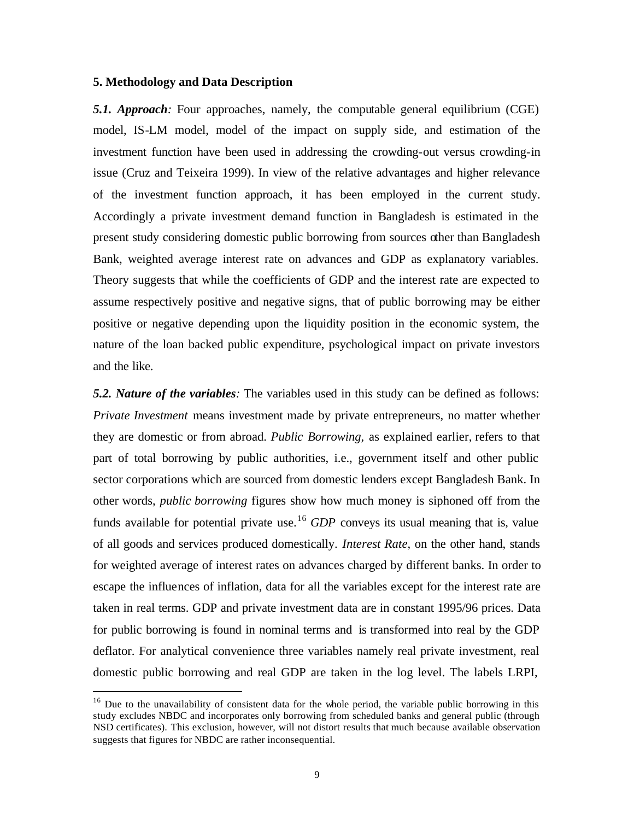#### **5. Methodology and Data Description**

 $\overline{a}$ 

*5.1. Approach:* Four approaches, namely, the computable general equilibrium (CGE) model, IS-LM model, model of the impact on supply side, and estimation of the investment function have been used in addressing the crowding-out versus crowding-in issue (Cruz and Teixeira 1999). In view of the relative advantages and higher relevance of the investment function approach, it has been employed in the current study. Accordingly a private investment demand function in Bangladesh is estimated in the present study considering domestic public borrowing from sources other than Bangladesh Bank, weighted average interest rate on advances and GDP as explanatory variables. Theory suggests that while the coefficients of GDP and the interest rate are expected to assume respectively positive and negative signs, that of public borrowing may be either positive or negative depending upon the liquidity position in the economic system, the nature of the loan backed public expenditure, psychological impact on private investors and the like.

*5.2. Nature of the variables:* The variables used in this study can be defined as follows: *Private Investment* means investment made by private entrepreneurs, no matter whether they are domestic or from abroad. *Public Borrowing,* as explained earlier, refers to that part of total borrowing by public authorities, i.e., government itself and other public sector corporations which are sourced from domestic lenders except Bangladesh Bank. In other words, *public borrowing* figures show how much money is siphoned off from the funds available for potential private use.<sup>16</sup> *GDP* conveys its usual meaning that is, value of all goods and services produced domestically. *Interest Rate*, on the other hand, stands for weighted average of interest rates on advances charged by different banks. In order to escape the influences of inflation, data for all the variables except for the interest rate are taken in real terms. GDP and private investment data are in constant 1995/96 prices. Data for public borrowing is found in nominal terms and is transformed into real by the GDP deflator. For analytical convenience three variables namely real private investment, real domestic public borrowing and real GDP are taken in the log level. The labels LRPI,

 $16$  Due to the unavailability of consistent data for the whole period, the variable public borrowing in this study excludes NBDC and incorporates only borrowing from scheduled banks and general public (through NSD certificates). This exclusion, however, will not distort results that much because available observation suggests that figures for NBDC are rather inconsequential.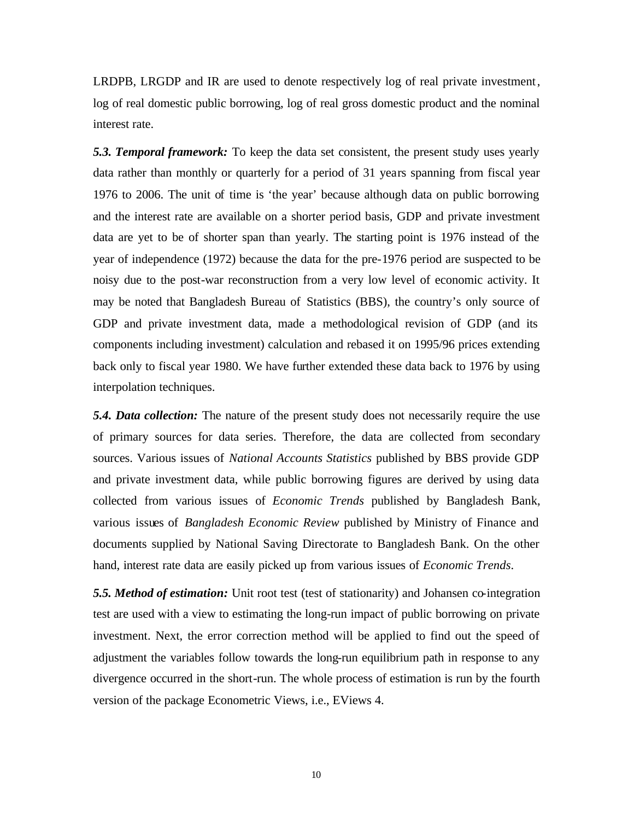LRDPB, LRGDP and IR are used to denote respectively log of real private investment, log of real domestic public borrowing, log of real gross domestic product and the nominal interest rate.

*5.3. Temporal framework:* To keep the data set consistent, the present study uses yearly data rather than monthly or quarterly for a period of 31 years spanning from fiscal year 1976 to 2006. The unit of time is 'the year' because although data on public borrowing and the interest rate are available on a shorter period basis, GDP and private investment data are yet to be of shorter span than yearly. The starting point is 1976 instead of the year of independence (1972) because the data for the pre-1976 period are suspected to be noisy due to the post-war reconstruction from a very low level of economic activity. It may be noted that Bangladesh Bureau of Statistics (BBS), the country's only source of GDP and private investment data, made a methodological revision of GDP (and its components including investment) calculation and rebased it on 1995/96 prices extending back only to fiscal year 1980. We have further extended these data back to 1976 by using interpolation techniques.

*5.4. Data collection:* The nature of the present study does not necessarily require the use of primary sources for data series. Therefore, the data are collected from secondary sources. Various issues of *National Accounts Statistics* published by BBS provide GDP and private investment data, while public borrowing figures are derived by using data collected from various issues of *Economic Trends* published by Bangladesh Bank, various issues of *Bangladesh Economic Review* published by Ministry of Finance and documents supplied by National Saving Directorate to Bangladesh Bank. On the other hand, interest rate data are easily picked up from various issues of *Economic Trends*.

*5.5. Method of estimation:* Unit root test (test of stationarity) and Johansen co-integration test are used with a view to estimating the long-run impact of public borrowing on private investment. Next, the error correction method will be applied to find out the speed of adjustment the variables follow towards the long-run equilibrium path in response to any divergence occurred in the short-run. The whole process of estimation is run by the fourth version of the package Econometric Views, i.e., EViews 4.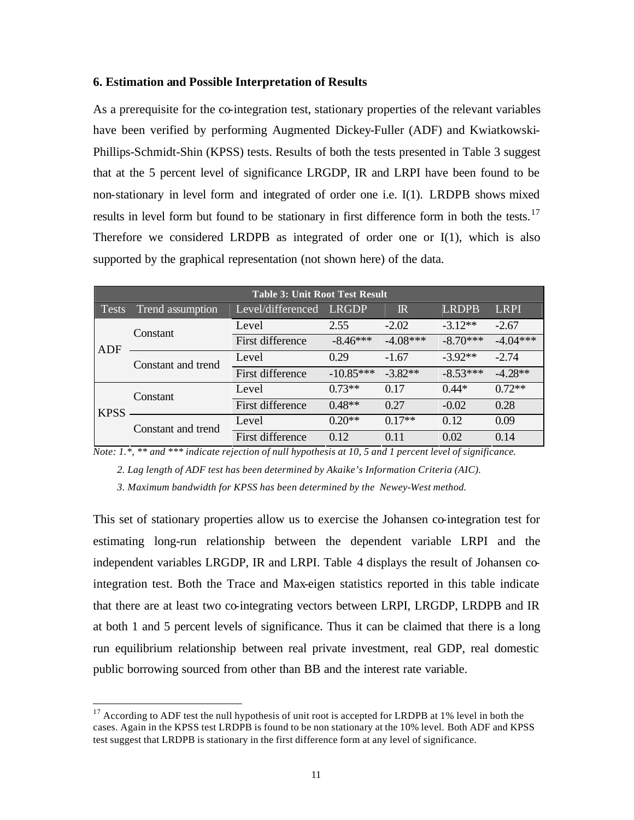#### **6. Estimation and Possible Interpretation of Results**

As a prerequisite for the co-integration test, stationary properties of the relevant variables have been verified by performing Augmented Dickey-Fuller (ADF) and Kwiatkowski-Phillips-Schmidt-Shin (KPSS) tests. Results of both the tests presented in Table 3 suggest that at the 5 percent level of significance LRGDP, IR and LRPI have been found to be non-stationary in level form and integrated of order one i.e. I(1). LRDPB shows mixed results in level form but found to be stationary in first difference form in both the tests.<sup>17</sup> Therefore we considered LRDPB as integrated of order one or  $I(1)$ , which is also supported by the graphical representation (not shown here) of the data.

|              | <b>Table 3: Unit Root Test Result</b> |                   |             |                 |              |             |  |  |  |  |
|--------------|---------------------------------------|-------------------|-------------|-----------------|--------------|-------------|--|--|--|--|
| <b>Tests</b> | Trend assumption                      | Level/differenced | LRGDP       | $\mathbb{R}$    | <b>LRDPB</b> | <b>LRPI</b> |  |  |  |  |
|              | Constant                              | Level             | 2.55        | $-2.02$         | $-3.12**$    | $-2.67$     |  |  |  |  |
| ADF          |                                       | First difference  | $-8.46***$  | $-4.08***$      | $-8.70***$   | $-4.04***$  |  |  |  |  |
|              | Constant and trend                    | Level             | 0.29        | $-1.67$         | $-3.92**$    | $-2.74$     |  |  |  |  |
|              |                                       | First difference  | $-10.85***$ | $-3.82**$       | $-8.53***$   | $-4.28**$   |  |  |  |  |
| <b>KPSS</b>  | Constant                              | Level             | $0.73**$    | 0.17            | $0.44*$      | $0.72**$    |  |  |  |  |
|              |                                       | First difference  | $0.48**$    | 0.27            | $-0.02$      | 0.28        |  |  |  |  |
|              | Constant and trend                    | Level             | $0.20**$    | $0.17**$        | 0.12         | 0.09        |  |  |  |  |
|              |                                       | First difference  | 012         | 0 <sub>11</sub> | 0.02         | 0.14        |  |  |  |  |

*Note: 1.\*, \*\* and \*\*\* indicate rejection of null hypothesis at 10, 5 and 1 percent level of significance.*

 *2. Lag length of ADF test has been determined by Akaike's Information Criteria (AIC).*

 *3. Maximum bandwidth for KPSS has been determined by the Newey-West method.*

This set of stationary properties allow us to exercise the Johansen co-integration test for estimating long-run relationship between the dependent variable LRPI and the independent variables LRGDP, IR and LRPI. Table 4 displays the result of Johansen cointegration test. Both the Trace and Max-eigen statistics reported in this table indicate that there are at least two co-integrating vectors between LRPI, LRGDP, LRDPB and IR at both 1 and 5 percent levels of significance. Thus it can be claimed that there is a long run equilibrium relationship between real private investment, real GDP, real domestic public borrowing sourced from other than BB and the interest rate variable.

<sup>&</sup>lt;sup>17</sup> According to ADF test the null hypothesis of unit root is accepted for LRDPB at 1% level in both the cases. Again in the KPSS test LRDPB is found to be non stationary at the 10% level. Both ADF and KPSS test suggest that LRDPB is stationary in the first difference form at any level of significance.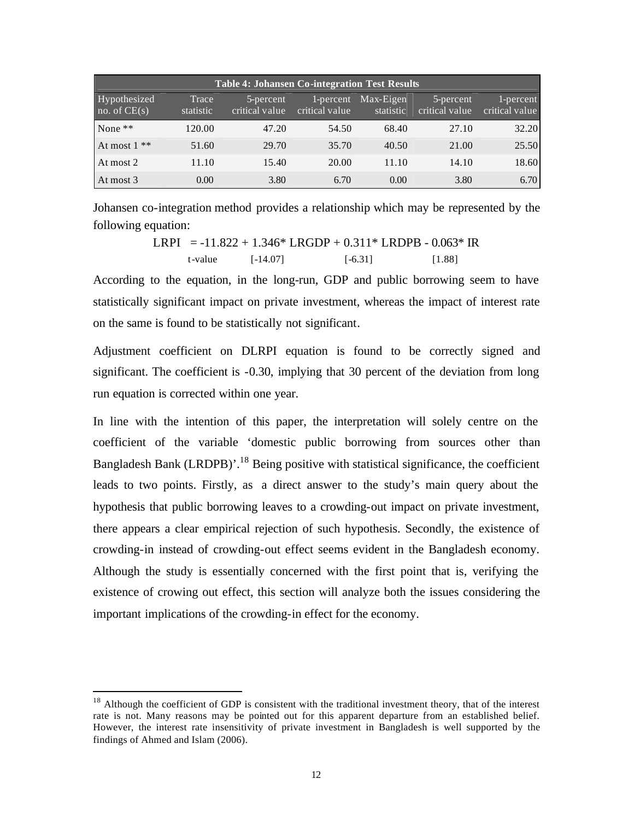| <b>Table 4: Johansen Co-integration Test Results</b> |                    |                              |                             |                        |                             |                             |  |  |  |  |
|------------------------------------------------------|--------------------|------------------------------|-----------------------------|------------------------|-----------------------------|-----------------------------|--|--|--|--|
| Hypothesized<br>no. of $CE(s)$                       | Trace<br>statistic | 5-percent<br>critical value. | 1-percent<br>critical value | Max-Eigen<br>statistic | 5-percent<br>critical value | 1-percent<br>critical value |  |  |  |  |
| None $**$                                            | 120.00             | 47.20                        | 54.50                       | 68.40                  | 27.10                       | 32.20                       |  |  |  |  |
| At most $1**$                                        | 51.60              | 29.70                        | 35.70                       | 40.50                  | 21.00                       | 25.50                       |  |  |  |  |
| At most 2                                            | 11.10              | 15.40                        | 20.00                       | 11.10                  | 14.10                       | 18.60                       |  |  |  |  |
| At most 3                                            | 0.00               | 3.80                         | 6.70                        | 0.00                   | 3.80                        | 6.70                        |  |  |  |  |

Johansen co-integration method provides a relationship which may be represented by the following equation:

LRPI = -11.822 + 1.346\* LRGDP + 0.311\* LRDPB - 0.063\* IR t-value [-14.07] [-6.31] [1.88]

According to the equation, in the long-run, GDP and public borrowing seem to have statistically significant impact on private investment, whereas the impact of interest rate on the same is found to be statistically not significant.

Adjustment coefficient on DLRPI equation is found to be correctly signed and significant. The coefficient is -0.30, implying that 30 percent of the deviation from long run equation is corrected within one year.

In line with the intention of this paper, the interpretation will solely centre on the coefficient of the variable 'domestic public borrowing from sources other than Bangladesh Bank (LRDPB)'.<sup>18</sup> Being positive with statistical significance, the coefficient leads to two points. Firstly, as a direct answer to the study's main query about the hypothesis that public borrowing leaves to a crowding-out impact on private investment, there appears a clear empirical rejection of such hypothesis. Secondly, the existence of crowding-in instead of crowding-out effect seems evident in the Bangladesh economy. Although the study is essentially concerned with the first point that is, verifying the existence of crowing out effect, this section will analyze both the issues considering the important implications of the crowding-in effect for the economy.

<sup>&</sup>lt;sup>18</sup> Although the coefficient of GDP is consistent with the traditional investment theory, that of the interest rate is not. Many reasons may be pointed out for this apparent departure from an established belief. However, the interest rate insensitivity of private investment in Bangladesh is well supported by the findings of Ahmed and Islam (2006).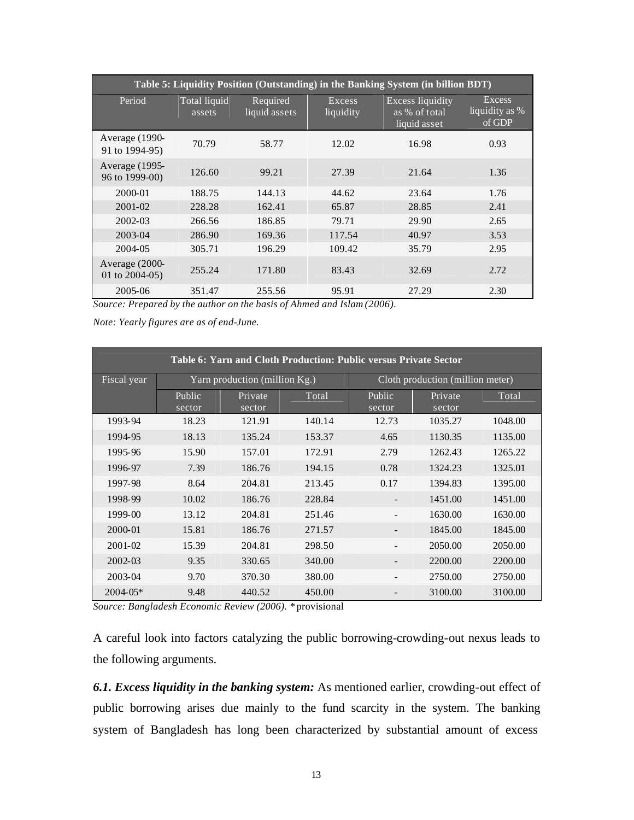| Table 5: Liquidity Position (Outstanding) in the Banking System (in billion BDT) |                        |                           |                     |                                                          |                                           |  |  |  |  |
|----------------------------------------------------------------------------------|------------------------|---------------------------|---------------------|----------------------------------------------------------|-------------------------------------------|--|--|--|--|
| Period                                                                           | Total liquid<br>assets | Required<br>liquid assets | Excess<br>liquidity | <b>Excess liquidity</b><br>as % of total<br>liquid asset | <b>Excess</b><br>liquidity as %<br>of GDP |  |  |  |  |
| Average (1990-<br>91 to 1994-95)                                                 | 70.79                  | 58.77                     | 12.02               | 16.98                                                    | 0.93                                      |  |  |  |  |
| Average (1995-<br>96 to 1999-00)                                                 | 126.60                 | 99.21                     | 27.39               | 21.64                                                    | 1.36                                      |  |  |  |  |
| 2000-01                                                                          | 188.75                 | 144.13                    | 44.62               | 23.64                                                    | 1.76                                      |  |  |  |  |
| 2001-02                                                                          | 228.28                 | 162.41                    | 65.87               | 28.85                                                    | 2.41                                      |  |  |  |  |
| 2002-03                                                                          | 266.56                 | 186.85                    | 79.71               | 29.90                                                    | 2.65                                      |  |  |  |  |
| 2003-04                                                                          | 286.90                 | 169.36                    | 117.54              | 40.97                                                    | 3.53                                      |  |  |  |  |
| 2004-05                                                                          | 305.71                 | 196.29                    | 109.42              | 35.79                                                    | 2.95                                      |  |  |  |  |
| Average (2000-<br>01 to $2004-05$ )                                              | 255.24                 | 171.80                    | 83.43               | 32.69                                                    | 2.72                                      |  |  |  |  |
| 2005-06                                                                          | 351.47                 | 255.56                    | 95.91               | 27.29                                                    | 2.30                                      |  |  |  |  |

*Source: Prepared by the author on the basis of Ahmed and Islam (2006).*

*Note: Yearly figures are as of end-June.*

| <b>Table 6: Yarn and Cloth Production: Public versus Private Sector</b> |                  |                               |        |                  |                                  |         |  |  |
|-------------------------------------------------------------------------|------------------|-------------------------------|--------|------------------|----------------------------------|---------|--|--|
| Fiscal year                                                             |                  | Yarn production (million Kg.) |        |                  | Cloth production (million meter) |         |  |  |
|                                                                         | Public<br>sector | Private<br>sector             | Total  | Public<br>sector | Private<br>sector                | Total   |  |  |
| 1993-94                                                                 | 18.23            | 121.91                        | 140.14 | 12.73            | 1035.27                          | 1048.00 |  |  |
| 1994-95                                                                 | 18.13            | 135.24                        | 153.37 | 4.65             | 1130.35                          | 1135.00 |  |  |
| 1995-96                                                                 | 15.90            | 157.01                        | 172.91 | 2.79             | 1262.43                          | 1265.22 |  |  |
| 1996-97                                                                 | 7.39             | 186.76                        | 194.15 | 0.78             | 1324.23                          | 1325.01 |  |  |
| 1997-98                                                                 | 8.64             | 204.81                        | 213.45 | 0.17             | 1394.83                          | 1395.00 |  |  |
| 1998-99                                                                 | 10.02            | 186.76                        | 228.84 |                  | 1451.00                          | 1451.00 |  |  |
| 1999-00                                                                 | 13.12            | 204.81                        | 251.46 |                  | 1630.00                          | 1630.00 |  |  |
| 2000-01                                                                 | 15.81            | 186.76                        | 271.57 |                  | 1845.00                          | 1845.00 |  |  |
| 2001-02                                                                 | 15.39            | 204.81                        | 298.50 |                  | 2050.00                          | 2050.00 |  |  |
| 2002-03                                                                 | 9.35             | 330.65                        | 340.00 |                  | 2200.00                          | 2200.00 |  |  |
| 2003-04                                                                 | 9.70             | 370.30                        | 380.00 |                  | 2750.00                          | 2750.00 |  |  |
| $2004 - 05*$                                                            | 9.48             | 440.52                        | 450.00 |                  | 3100.00                          | 3100.00 |  |  |

*Source: Bangladesh Economic Review (2006). \** provisional

A careful look into factors catalyzing the public borrowing-crowding-out nexus leads to the following arguments.

*6.1. Excess liquidity in the banking system:* As mentioned earlier, crowding-out effect of public borrowing arises due mainly to the fund scarcity in the system. The banking system of Bangladesh has long been characterized by substantial amount of excess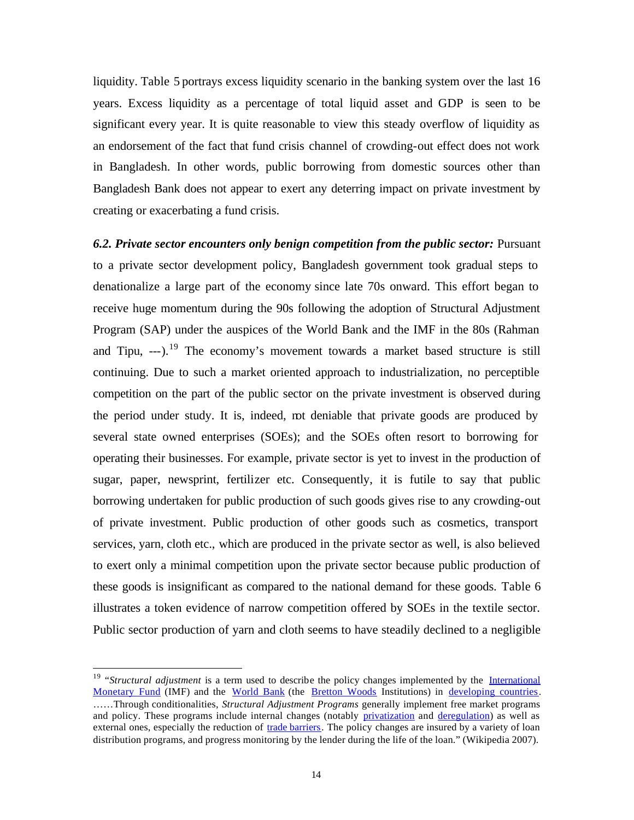liquidity. Table 5 portrays excess liquidity scenario in the banking system over the last 16 years. Excess liquidity as a percentage of total liquid asset and GDP is seen to be significant every year. It is quite reasonable to view this steady overflow of liquidity as an endorsement of the fact that fund crisis channel of crowding-out effect does not work in Bangladesh. In other words, public borrowing from domestic sources other than Bangladesh Bank does not appear to exert any deterring impact on private investment by creating or exacerbating a fund crisis.

*6.2. Private sector encounters only benign competition from the public sector:* Pursuant to a private sector development policy, Bangladesh government took gradual steps to denationalize a large part of the economy since late 70s onward. This effort began to receive huge momentum during the 90s following the adoption of Structural Adjustment Program (SAP) under the auspices of the World Bank and the IMF in the 80s (Rahman and Tipu, ---).<sup>19</sup> The economy's movement towards a market based structure is still continuing. Due to such a market oriented approach to industrialization, no perceptible competition on the part of the public sector on the private investment is observed during the period under study. It is, indeed, not deniable that private goods are produced by several state owned enterprises (SOEs); and the SOEs often resort to borrowing for operating their businesses. For example, private sector is yet to invest in the production of sugar, paper, newsprint, fertilizer etc. Consequently, it is futile to say that public borrowing undertaken for public production of such goods gives rise to any crowding-out of private investment. Public production of other goods such as cosmetics, transport services, yarn, cloth etc., which are produced in the private sector as well, is also believed to exert only a minimal competition upon the private sector because public production of these goods is insignificant as compared to the national demand for these goods. Table 6 illustrates a token evidence of narrow competition offered by SOEs in the textile sector. Public sector production of yarn and cloth seems to have steadily declined to a negligible

<sup>&</sup>lt;sup>19</sup> "*Structural adjustment* is a term used to describe the policy changes implemented by the *International* Monetary Fund (IMF) and the World Bank (the Bretton Woods Institutions) in developing countries. ……Through conditionalities, *Structural Adjustment Programs* generally implement free market programs and policy. These programs include internal changes (notably privatization and deregulation) as well as external ones, especially the reduction of trade barriers. The policy changes are insured by a variety of loan distribution programs, and progress monitoring by the lender during the life of the loan." (Wikipedia 2007).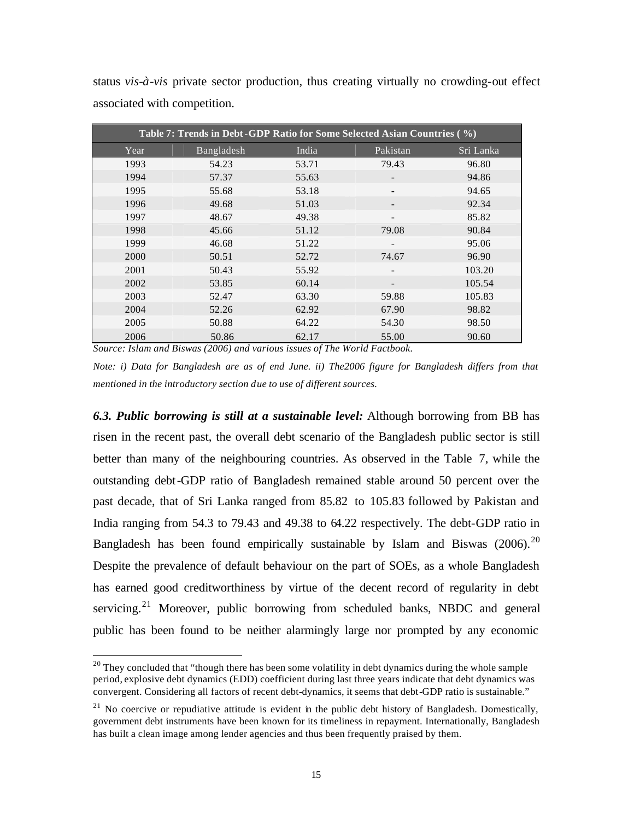| associated with competition.                                            |            |       |          |           |  |  |  |  |
|-------------------------------------------------------------------------|------------|-------|----------|-----------|--|--|--|--|
| Table 7: Trends in Debt-GDP Ratio for Some Selected Asian Countries (%) |            |       |          |           |  |  |  |  |
| Year                                                                    | Bangladesh | India | Pakistan | Sri Lanka |  |  |  |  |
| 1993                                                                    | 54.23      | 53.71 | 79.43    | 96.80     |  |  |  |  |
| 1994                                                                    | 57.37      | 55.63 |          | 94.86     |  |  |  |  |
| 1995                                                                    | 55.68      | 53.18 |          | 94.65     |  |  |  |  |
| 1996                                                                    | 49.68      | 51.03 |          | 92.34     |  |  |  |  |
| 1997                                                                    | 48.67      | 49.38 |          | 85.82     |  |  |  |  |
| 1998                                                                    | 45.66      | 51.12 | 79.08    | 90.84     |  |  |  |  |
| 1999                                                                    | 46.68      | 51.22 |          | 95.06     |  |  |  |  |
| 2000                                                                    | 50.51      | 52.72 | 74.67    | 96.90     |  |  |  |  |
| 2001                                                                    | 50.43      | 55.92 |          | 103.20    |  |  |  |  |

2002 53.85 60.14 - 105.54 2003 52.47 63.30 59.88 105.83 2004 52.26 62.92 67.90 98.82 2005 50.88 64.22 54.30 98.50 2006 50.86 62.17 55.00 90.60

status *vis-à-vis* private sector production, thus creating virtually no crowding-out effect

*Source: Islam and Biswas (2006) and various issues of The World Factbook.*

 $\overline{a}$ 

*Note: i) Data for Bangladesh are as of end June. ii) The2006 figure for Bangladesh differs from that mentioned in the introductory section due to use of different sources.*

*6.3. Public borrowing is still at a sustainable level:* Although borrowing from BB has risen in the recent past, the overall debt scenario of the Bangladesh public sector is still better than many of the neighbouring countries. As observed in the Table 7, while the outstanding debt-GDP ratio of Bangladesh remained stable around 50 percent over the past decade, that of Sri Lanka ranged from 85.82 to 105.83 followed by Pakistan and India ranging from 54.3 to 79.43 and 49.38 to 64.22 respectively. The debt-GDP ratio in Bangladesh has been found empirically sustainable by Islam and Biswas  $(2006)$ .<sup>20</sup> Despite the prevalence of default behaviour on the part of SOEs, as a whole Bangladesh has earned good creditworthiness by virtue of the decent record of regularity in debt servicing. $21$  Moreover, public borrowing from scheduled banks, NBDC and general public has been found to be neither alarmingly large nor prompted by any economic

 $20$  They concluded that "though there has been some volatility in debt dynamics during the whole sample period, explosive debt dynamics (EDD) coefficient during last three years indicate that debt dynamics was convergent. Considering all factors of recent debt-dynamics, it seems that debt-GDP ratio is sustainable."

 $^{21}$  No coercive or repudiative attitude is evident in the public debt history of Bangladesh. Domestically, government debt instruments have been known for its timeliness in repayment. Internationally, Bangladesh has built a clean image among lender agencies and thus been frequently praised by them.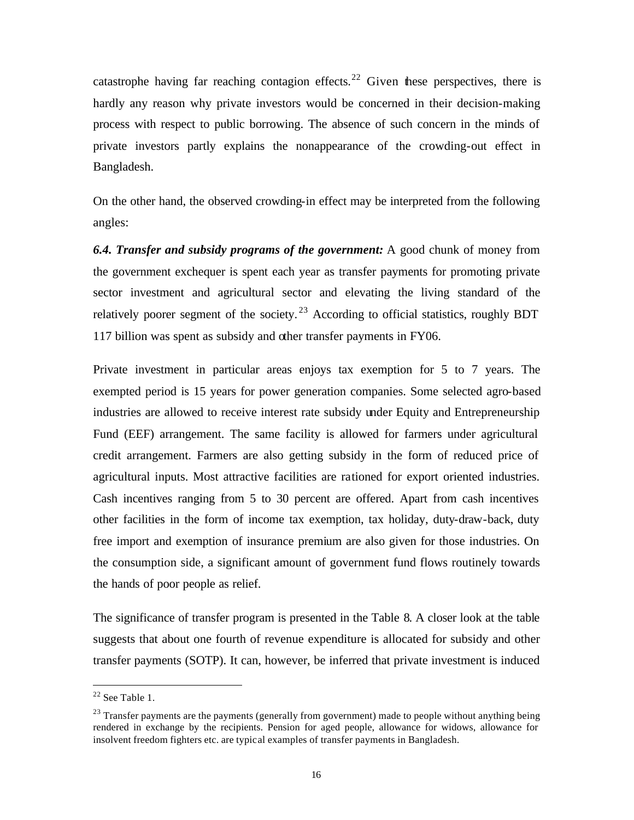catastrophe having far reaching contagion effects.<sup>22</sup> Given these perspectives, there is hardly any reason why private investors would be concerned in their decision-making process with respect to public borrowing. The absence of such concern in the minds of private investors partly explains the nonappearance of the crowding-out effect in Bangladesh.

On the other hand, the observed crowding-in effect may be interpreted from the following angles:

*6.4. Transfer and subsidy programs of the government:* A good chunk of money from the government exchequer is spent each year as transfer payments for promoting private sector investment and agricultural sector and elevating the living standard of the relatively poorer segment of the society.<sup>23</sup> According to official statistics, roughly BDT 117 billion was spent as subsidy and other transfer payments in FY06.

Private investment in particular areas enjoys tax exemption for 5 to 7 years. The exempted period is 15 years for power generation companies. Some selected agro-based industries are allowed to receive interest rate subsidy under Equity and Entrepreneurship Fund (EEF) arrangement. The same facility is allowed for farmers under agricultural credit arrangement. Farmers are also getting subsidy in the form of reduced price of agricultural inputs. Most attractive facilities are rationed for export oriented industries. Cash incentives ranging from 5 to 30 percent are offered. Apart from cash incentives other facilities in the form of income tax exemption, tax holiday, duty-draw-back, duty free import and exemption of insurance premium are also given for those industries. On the consumption side, a significant amount of government fund flows routinely towards the hands of poor people as relief.

The significance of transfer program is presented in the Table 8. A closer look at the table suggests that about one fourth of revenue expenditure is allocated for subsidy and other transfer payments (SOTP). It can, however, be inferred that private investment is induced

 $22$  See Table 1.

 $23$  Transfer payments are the payments (generally from government) made to people without anything being rendered in exchange by the recipients. Pension for aged people, allowance for widows, allowance for insolvent freedom fighters etc. are typical examples of transfer payments in Bangladesh.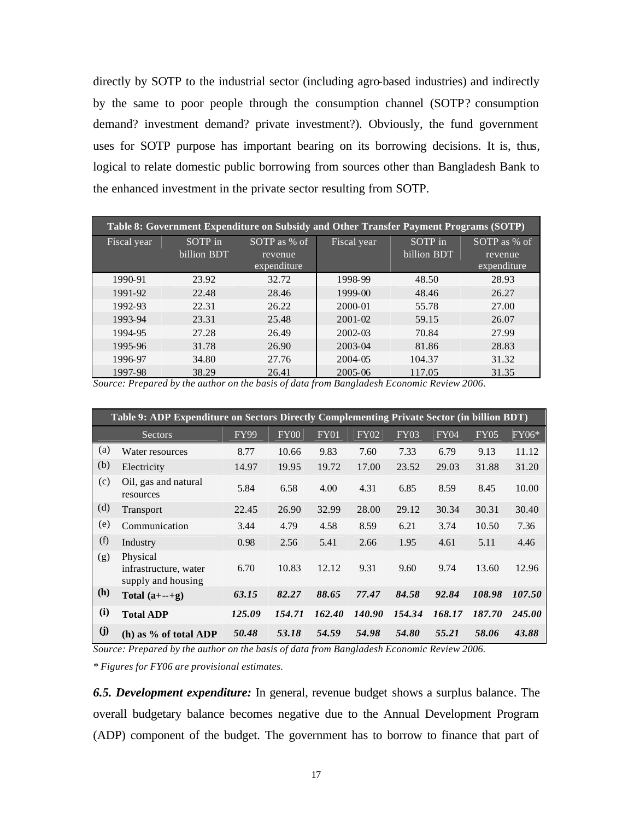directly by SOTP to the industrial sector (including agro-based industries) and indirectly by the same to poor people through the consumption channel (SOTP? consumption demand? investment demand? private investment?). Obviously, the fund government uses for SOTP purpose has important bearing on its borrowing decisions. It is, thus, logical to relate domestic public borrowing from sources other than Bangladesh Bank to the enhanced investment in the private sector resulting from SOTP.

| Table 8: Government Expenditure on Subsidy and Other Transfer Payment Programs (SOTP) |             |              |             |             |              |  |  |  |  |
|---------------------------------------------------------------------------------------|-------------|--------------|-------------|-------------|--------------|--|--|--|--|
| Fiscal year                                                                           | SOTP in     | SOTP as % of | Fiscal year | SOTP in     | SOTP as % of |  |  |  |  |
|                                                                                       | billion BDT | revenue      |             | billion BDT | revenue      |  |  |  |  |
|                                                                                       |             | expenditure  |             |             | expenditure  |  |  |  |  |
| 1990-91                                                                               | 23.92       | 32.72        | 1998-99     | 48.50       | 28.93        |  |  |  |  |
| 1991-92                                                                               | 22.48       | 28.46        | 1999-00     | 48.46       | 26.27        |  |  |  |  |
| 1992-93                                                                               | 22.31       | 26.22        | 2000-01     | 55.78       | 27.00        |  |  |  |  |
| 1993-94                                                                               | 23.31       | 25.48        | $2001 - 02$ | 59.15       | 26.07        |  |  |  |  |
| 1994-95                                                                               | 27.28       | 26.49        | 2002-03     | 70.84       | 27.99        |  |  |  |  |
| 1995-96                                                                               | 31.78       | 26.90        | 2003-04     | 81.86       | 28.83        |  |  |  |  |
| 1996-97                                                                               | 34.80       | 27.76        | 2004-05     | 104.37      | 31.32        |  |  |  |  |
| 1997-98                                                                               | 38.29       | 26.41        | 2005-06     | 117.05      | 31.35        |  |  |  |  |

*Source: Prepared by the author on the basis of data from Bangladesh Economic Review 2006.*

|     | Table 9: ADP Expenditure on Sectors Directly Complementing Private Sector (in billion BDT) |             |        |             |             |             |             |             |        |
|-----|--------------------------------------------------------------------------------------------|-------------|--------|-------------|-------------|-------------|-------------|-------------|--------|
|     | Sectors                                                                                    | <b>FY99</b> | FY00   | <b>FY01</b> | <b>FY02</b> | <b>FY03</b> | <b>FY04</b> | <b>FY05</b> | FY06*  |
| (a) | Water resources                                                                            | 8.77        | 10.66  | 9.83        | 7.60        | 7.33        | 6.79        | 9.13        | 11.12  |
| (b) | Electricity                                                                                | 14.97       | 19.95  | 19.72       | 17.00       | 23.52       | 29.03       | 31.88       | 31.20  |
| (c) | Oil, gas and natural<br>resources                                                          | 5.84        | 6.58   | 4.00        | 4.31        | 6.85        | 8.59        | 8.45        | 10.00  |
| (d) | <b>Transport</b>                                                                           | 22.45       | 26.90  | 32.99       | 28.00       | 29.12       | 30.34       | 30.31       | 30.40  |
| (e) | Communication                                                                              | 3.44        | 4.79   | 4.58        | 8.59        | 6.21        | 3.74        | 10.50       | 7.36   |
| (f) | Industry                                                                                   | 0.98        | 2.56   | 5.41        | 2.66        | 1.95        | 4.61        | 5.11        | 4.46   |
| (g) | Physical<br>infrastructure, water<br>supply and housing                                    | 6.70        | 10.83  | 12.12       | 9.31        | 9.60        | 9.74        | 13.60       | 12.96  |
| (h) | Total $(a+-+g)$                                                                            | 63.15       | 82.27  | 88.65       | 77.47       | 84.58       | 92.84       | 108.98      | 107.50 |
| (i) | <b>Total ADP</b>                                                                           | 125.09      | 154.71 | 162.40      | 140.90      | 154.34      | 168.17      | 187.70      | 245.00 |
| (j) | (h) as $\%$ of total ADP                                                                   | 50.48       | 53.18  | 54.59       | 54.98       | 54.80       | 55.21       | 58.06       | 43.88  |

*Source: Prepared by the author on the basis of data from Bangladesh Economic Review 2006.*

*\* Figures for FY06 are provisional estimates.*

*6.5. Development expenditure:* In general, revenue budget shows a surplus balance. The overall budgetary balance becomes negative due to the Annual Development Program (ADP) component of the budget. The government has to borrow to finance that part of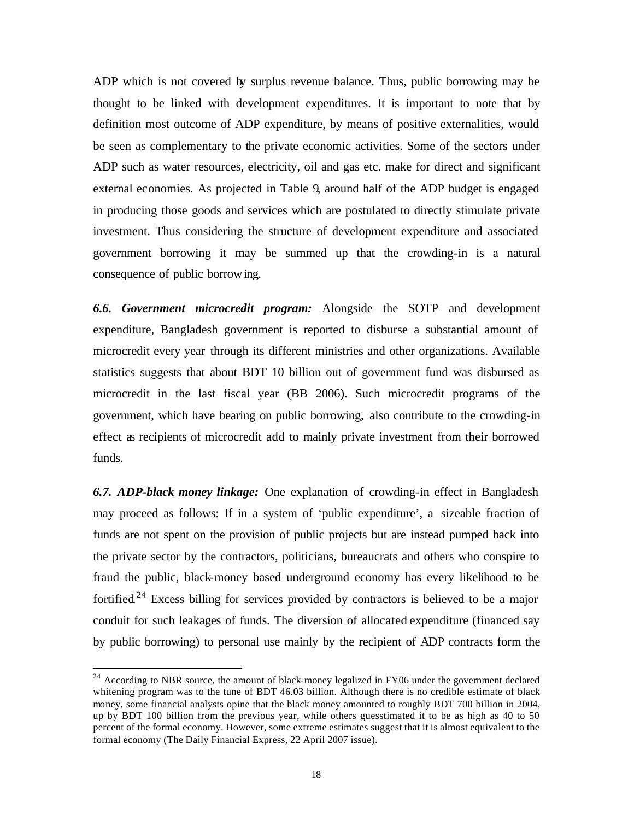ADP which is not covered by surplus revenue balance. Thus, public borrowing may be thought to be linked with development expenditures. It is important to note that by definition most outcome of ADP expenditure, by means of positive externalities, would be seen as complementary to the private economic activities. Some of the sectors under ADP such as water resources, electricity, oil and gas etc. make for direct and significant external economies. As projected in Table 9, around half of the ADP budget is engaged in producing those goods and services which are postulated to directly stimulate private investment. Thus considering the structure of development expenditure and associated government borrowing it may be summed up that the crowding-in is a natural consequence of public borrowing.

*6.6. Government microcredit program:* Alongside the SOTP and development expenditure, Bangladesh government is reported to disburse a substantial amount of microcredit every year through its different ministries and other organizations. Available statistics suggests that about BDT 10 billion out of government fund was disbursed as microcredit in the last fiscal year (BB 2006). Such microcredit programs of the government, which have bearing on public borrowing, also contribute to the crowding-in effect as recipients of microcredit add to mainly private investment from their borrowed funds.

*6.7. ADP-black money linkage:* One explanation of crowding-in effect in Bangladesh may proceed as follows: If in a system of 'public expenditure', a sizeable fraction of funds are not spent on the provision of public projects but are instead pumped back into the private sector by the contractors, politicians, bureaucrats and others who conspire to fraud the public, black-money based underground economy has every likelihood to be fortified.<sup>24</sup> Excess billing for services provided by contractors is believed to be a major conduit for such leakages of funds. The diversion of allocated expenditure (financed say by public borrowing) to personal use mainly by the recipient of ADP contracts form the

 $24$  According to NBR source, the amount of black-money legalized in FY06 under the government declared whitening program was to the tune of BDT 46.03 billion. Although there is no credible estimate of black money, some financial analysts opine that the black money amounted to roughly BDT 700 billion in 2004, up by BDT 100 billion from the previous year, while others guesstimated it to be as high as 40 to 50 percent of the formal economy. However, some extreme estimates suggest that it is almost equivalent to the formal economy (The Daily Financial Express, 22 April 2007 issue).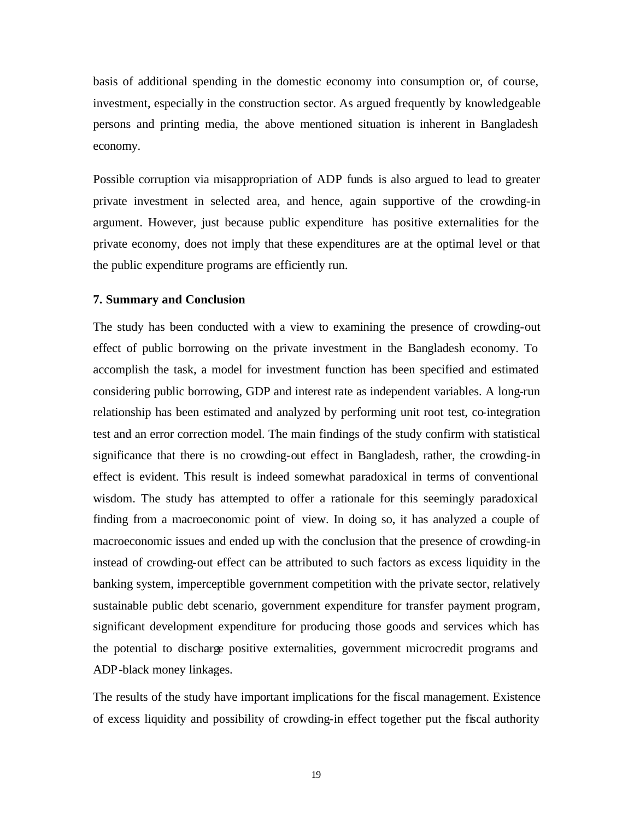basis of additional spending in the domestic economy into consumption or, of course, investment, especially in the construction sector. As argued frequently by knowledgeable persons and printing media, the above mentioned situation is inherent in Bangladesh economy.

Possible corruption via misappropriation of ADP funds is also argued to lead to greater private investment in selected area, and hence, again supportive of the crowding-in argument. However, just because public expenditure has positive externalities for the private economy, does not imply that these expenditures are at the optimal level or that the public expenditure programs are efficiently run.

#### **7. Summary and Conclusion**

The study has been conducted with a view to examining the presence of crowding-out effect of public borrowing on the private investment in the Bangladesh economy. To accomplish the task, a model for investment function has been specified and estimated considering public borrowing, GDP and interest rate as independent variables. A long-run relationship has been estimated and analyzed by performing unit root test, co-integration test and an error correction model. The main findings of the study confirm with statistical significance that there is no crowding-out effect in Bangladesh, rather, the crowding-in effect is evident. This result is indeed somewhat paradoxical in terms of conventional wisdom. The study has attempted to offer a rationale for this seemingly paradoxical finding from a macroeconomic point of view. In doing so, it has analyzed a couple of macroeconomic issues and ended up with the conclusion that the presence of crowding-in instead of crowding-out effect can be attributed to such factors as excess liquidity in the banking system, imperceptible government competition with the private sector, relatively sustainable public debt scenario, government expenditure for transfer payment program, significant development expenditure for producing those goods and services which has the potential to discharge positive externalities, government microcredit programs and ADP-black money linkages.

The results of the study have important implications for the fiscal management. Existence of excess liquidity and possibility of crowding-in effect together put the fiscal authority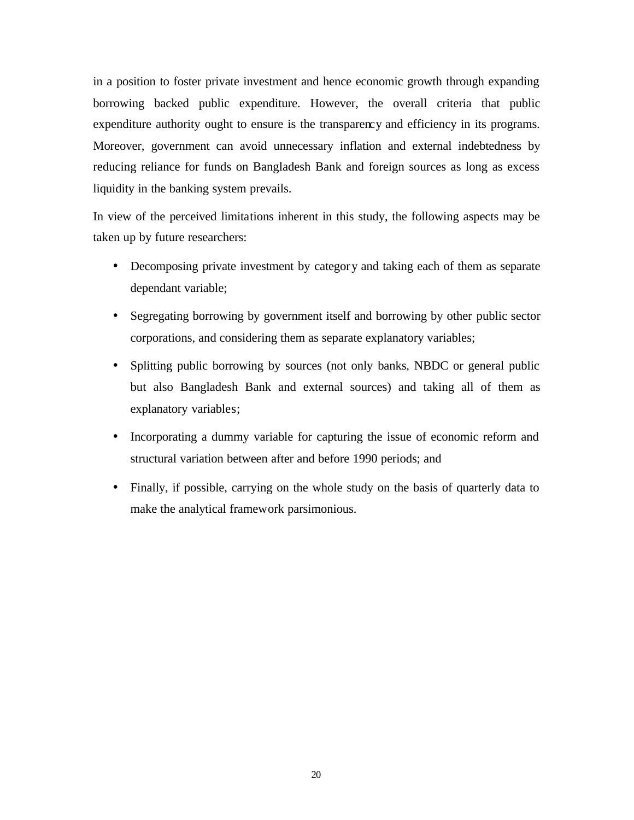in a position to foster private investment and hence economic growth through expanding borrowing backed public expenditure. However, the overall criteria that public expenditure authority ought to ensure is the transparency and efficiency in its programs. Moreover, government can avoid unnecessary inflation and external indebtedness by reducing reliance for funds on Bangladesh Bank and foreign sources as long as excess liquidity in the banking system prevails.

In view of the perceived limitations inherent in this study, the following aspects may be taken up by future researchers:

- Decomposing private investment by category and taking each of them as separate dependant variable;
- Segregating borrowing by government itself and borrowing by other public sector corporations, and considering them as separate explanatory variables;
- Splitting public borrowing by sources (not only banks, NBDC or general public but also Bangladesh Bank and external sources) and taking all of them as explanatory variables;
- Incorporating a dummy variable for capturing the issue of economic reform and structural variation between after and before 1990 periods; and
- Finally, if possible, carrying on the whole study on the basis of quarterly data to make the analytical framework parsimonious.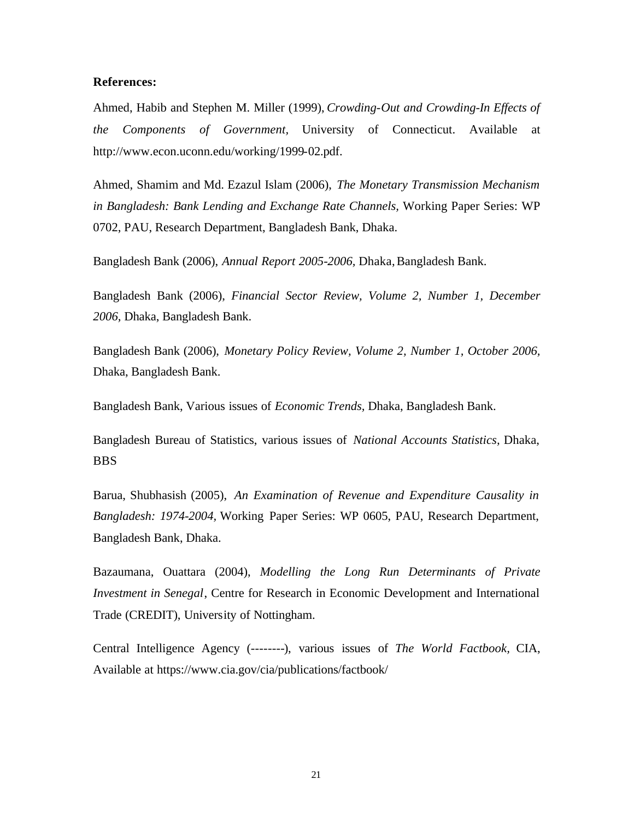#### **References:**

Ahmed, Habib and Stephen M. Miller (1999), *Crowding-Out and Crowding-In Effects of the Components of Government,* University of Connecticut. Available at http://www.econ.uconn.edu/working/1999-02.pdf.

Ahmed, Shamim and Md. Ezazul Islam (2006), *The Monetary Transmission Mechanism in Bangladesh: Bank Lending and Exchange Rate Channels,* Working Paper Series: WP 0702, PAU, Research Department, Bangladesh Bank, Dhaka.

Bangladesh Bank (2006), *Annual Report 2005-2006,* Dhaka, Bangladesh Bank.

Bangladesh Bank (2006), *Financial Sector Review, Volume 2, Number 1, December 2006,* Dhaka, Bangladesh Bank.

Bangladesh Bank (2006), *Monetary Policy Review, Volume 2, Number 1, October 2006,* Dhaka, Bangladesh Bank.

Bangladesh Bank, Various issues of *Economic Trends,* Dhaka, Bangladesh Bank.

Bangladesh Bureau of Statistics, various issues of *National Accounts Statistics,* Dhaka, BBS

Barua, Shubhasish (2005), *An Examination of Revenue and Expenditure Causality in Bangladesh: 1974-2004,* Working Paper Series: WP 0605, PAU, Research Department, Bangladesh Bank, Dhaka.

Bazaumana, Ouattara (2004), *Modelling the Long Run Determinants of Private Investment in Senegal*, Centre for Research in Economic Development and International Trade (CREDIT), University of Nottingham.

Central Intelligence Agency (--------), various issues of *The World Factbook,* CIA, Available at https://www.cia.gov/cia/publications/factbook/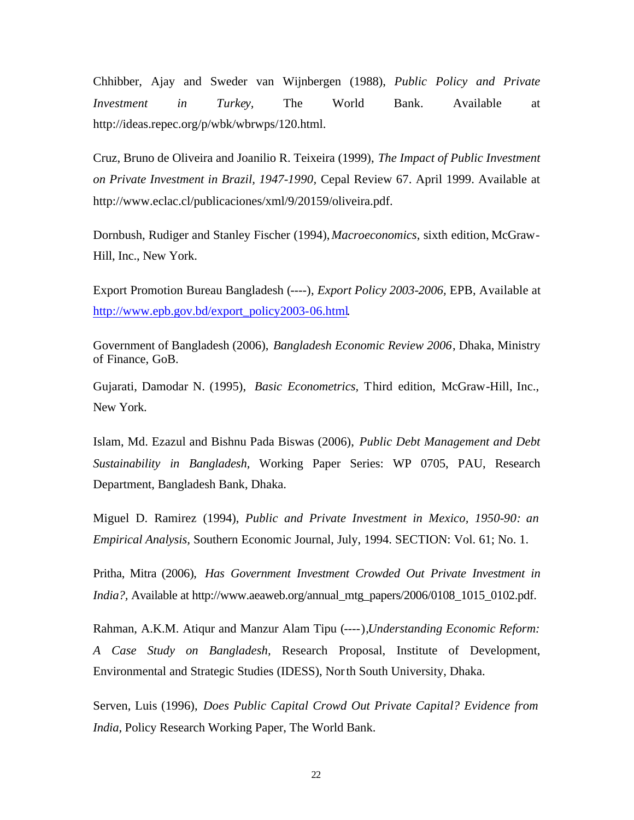Chhibber, Ajay and Sweder van Wijnbergen (1988), *Public Policy and Private Investment in Turkey,* The World Bank. Available at http://ideas.repec.org/p/wbk/wbrwps/120.html.

Cruz, Bruno de Oliveira and Joanilio R. Teixeira (1999), *The Impact of Public Investment on Private Investment in Brazil, 1947-1990,* Cepal Review 67. April 1999. Available at http://www.eclac.cl/publicaciones/xml/9/20159/oliveira.pdf.

Dornbush, Rudiger and Stanley Fischer (1994), *Macroeconomics,* sixth edition, McGraw-Hill, Inc., New York.

Export Promotion Bureau Bangladesh (----), *Export Policy 2003-2006,* EPB, Available at http://www.epb.gov.bd/export\_policy2003-06.html.

Government of Bangladesh (2006), *Bangladesh Economic Review 2006*, Dhaka, Ministry of Finance, GoB.

Gujarati, Damodar N. (1995), *Basic Econometrics,* Third edition, McGraw-Hill, Inc., New York.

Islam, Md. Ezazul and Bishnu Pada Biswas (2006), *Public Debt Management and Debt Sustainability in Bangladesh,* Working Paper Series: WP 0705, PAU, Research Department, Bangladesh Bank, Dhaka.

Miguel D. Ramirez (1994), *Public and Private Investment in Mexico, 1950-90: an Empirical Analysis,* Southern Economic Journal, July, 1994. SECTION: Vol. 61; No. 1.

Pritha, Mitra (2006), *Has Government Investment Crowded Out Private Investment in India?,* Available at http://www.aeaweb.org/annual\_mtg\_papers/2006/0108\_1015\_0102.pdf.

Rahman, A.K.M. Atiqur and Manzur Alam Tipu (----),*Understanding Economic Reform: A Case Study on Bangladesh,* Research Proposal, Institute of Development, Environmental and Strategic Studies (IDESS), North South University, Dhaka.

Serven, Luis (1996), *Does Public Capital Crowd Out Private Capital? Evidence from India,* Policy Research Working Paper, The World Bank.